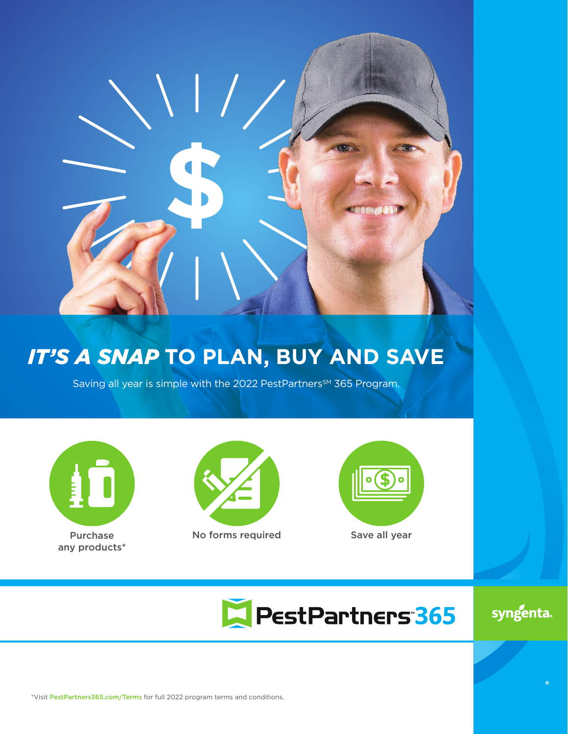

# *IT'S A SNAP* **TO PLAN, BUY AND SAVE**

Saving all year is simple with the 2022 PestPartners<sup>SM</sup> 365 Program.



Purchase any products\*



No forms required Save all year



PestPartners 365

syngenta.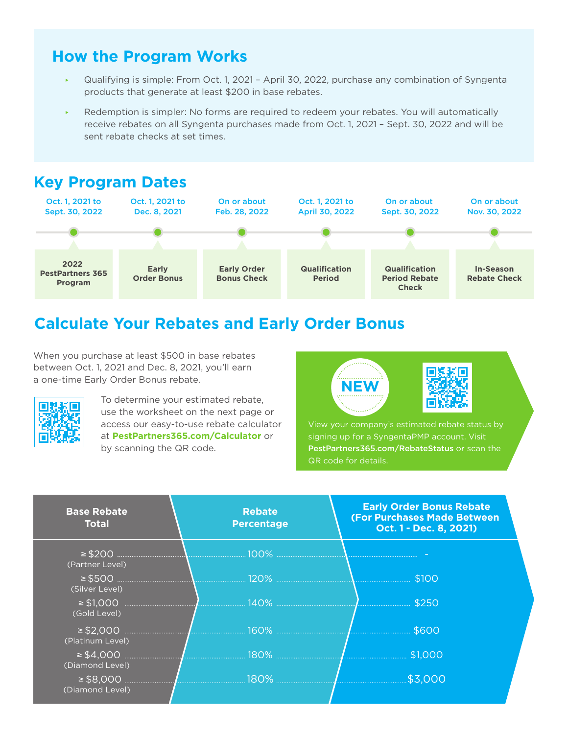## **How the Program Works**

- Qualifying is simple: From Oct. 1, 2021 April 30, 2022, purchase any combination of Syngenta products that generate at least \$200 in base rebates.
- Redemption is simpler: No forms are required to redeem your rebates. You will automatically receive rebates on all Syngenta purchases made from Oct. 1, 2021 – Sept. 30, 2022 and will be sent rebate checks at set times.

# **Key Program Dates**



# **Calculate Your Rebates and Early Order Bonus**

When you purchase at least \$500 in base rebates between Oct. 1, 2021 and Dec. 8, 2021, you'll earn a one-time Early Order Bonus rebate.



To determine your estimated rebate, use the worksheet on the next page or access our easy-to-use rebate calculator at **PestPartners365.com/Calculator** or by scanning the QR code.



signing up for a SyngentaPMP account. Visit PestPartners365.com/RebateStatus or scan the QR code for details.

| <b>Base Rebate</b><br><b>Total</b> | <b>Rebate</b><br><b>Percentage</b> | <b>Early Order Bonus Rebate</b><br><b>(For Purchases Made Between)</b><br>Oct. 1 - Dec. 8, 2021) |
|------------------------------------|------------------------------------|--------------------------------------------------------------------------------------------------|
| (Partner Level)                    |                                    |                                                                                                  |
| (Silver Level)                     |                                    |                                                                                                  |
| (Gold Level)                       |                                    |                                                                                                  |
| (Platinum Level)                   |                                    |                                                                                                  |
| (Diamond Level)                    |                                    |                                                                                                  |
| (Diamond Level)                    |                                    |                                                                                                  |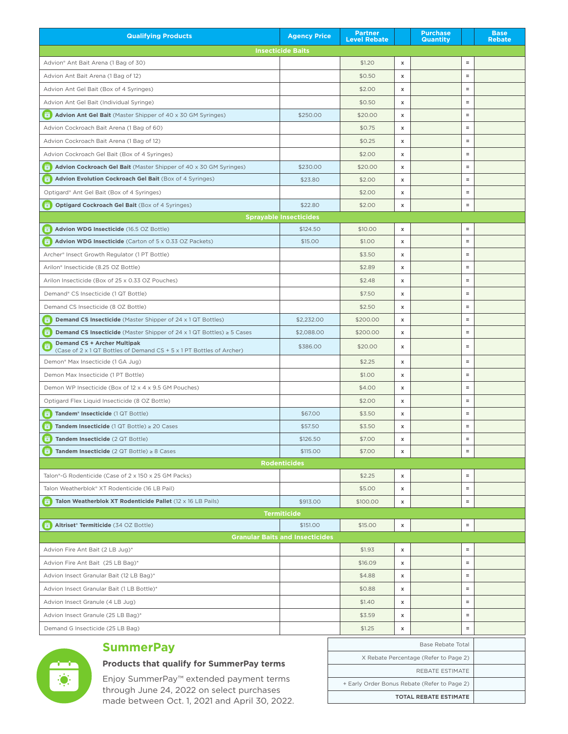| <b>Qualifying Products</b>                                                                                 | <b>Agency Price</b>                    | <b>Partner</b><br><b>Level Rebate</b>        |                           | <b>Purchase</b><br><b>Quantity</b> | <b>Base</b><br><b>Rebate</b> |  |  |  |  |
|------------------------------------------------------------------------------------------------------------|----------------------------------------|----------------------------------------------|---------------------------|------------------------------------|------------------------------|--|--|--|--|
|                                                                                                            | <b>Insecticide Baits</b>               |                                              |                           |                                    |                              |  |  |  |  |
| Advion® Ant Bait Arena (1 Bag of 30)                                                                       |                                        | \$1.20                                       | х                         | $\equiv$                           |                              |  |  |  |  |
| Advion Ant Bait Arena (1 Bag of 12)                                                                        |                                        | \$0.50                                       | x                         | $\equiv$                           |                              |  |  |  |  |
| Advion Ant Gel Bait (Box of 4 Syringes)                                                                    |                                        | \$2.00                                       | Х                         | $\equiv$                           |                              |  |  |  |  |
| Advion Ant Gel Bait (Individual Syringe)                                                                   |                                        | \$0.50                                       | x                         | $\equiv$                           |                              |  |  |  |  |
| <b>Advion Ant Gel Bait</b> (Master Shipper of 40 x 30 GM Syringes)<br>$\overline{\mathbf{u}}$ )            | \$250.00                               | \$20.00                                      | Х                         | $\equiv$                           |                              |  |  |  |  |
| Advion Cockroach Bait Arena (1 Bag of 60)                                                                  |                                        | \$0.75                                       | Х                         | $\equiv$                           |                              |  |  |  |  |
| Advion Cockroach Bait Arena (1 Bag of 12)                                                                  |                                        | \$0.25                                       | x                         | $\equiv$                           |                              |  |  |  |  |
| Advion Cockroach Gel Bait (Box of 4 Syringes)                                                              |                                        | \$2.00                                       | х                         | $\equiv$                           |                              |  |  |  |  |
| <b>Advion Cockroach Gel Bait</b> (Master Shipper of 40 x 30 GM Syringes)                                   | \$230.00                               | \$20.00                                      | Х                         | $\equiv$                           |                              |  |  |  |  |
| Advion Evolution Cockroach Gel Bait (Box of 4 Syringes)                                                    | \$23.80                                | \$2.00                                       | x                         | $\equiv$                           |                              |  |  |  |  |
| Optigard® Ant Gel Bait (Box of 4 Syringes)                                                                 |                                        | \$2.00                                       | x                         | $\equiv$                           |                              |  |  |  |  |
| <b>Optigard Cockroach Gel Bait (Box of 4 Syringes)</b><br>蓾                                                | \$22.80                                | \$2.00                                       | x                         | $\equiv$                           |                              |  |  |  |  |
| <b>Sprayable Insecticides</b>                                                                              |                                        |                                              |                           |                                    |                              |  |  |  |  |
| Advion WDG Insecticide (16.5 OZ Bottle)<br>$\sqrt{2}$                                                      | \$124.50                               | \$10.00                                      | x                         | $\equiv$                           |                              |  |  |  |  |
| Advion WDG Insecticide (Carton of 5 x 0.33 OZ Packets)                                                     | \$15.00                                | \$1.00                                       | Х                         | $\equiv$                           |                              |  |  |  |  |
| Archer® Insect Growth Regulator (1 PT Bottle)                                                              |                                        | \$3.50                                       | х                         | $\equiv$                           |                              |  |  |  |  |
| Arilon® Insecticide (8.25 OZ Bottle)                                                                       |                                        | \$2.89                                       | x                         | $\equiv$                           |                              |  |  |  |  |
| Arilon Insecticide (Box of 25 x 0.33 OZ Pouches)                                                           |                                        | \$2.48                                       | x                         | $\equiv$                           |                              |  |  |  |  |
| Demand® CS Insecticide (1 QT Bottle)                                                                       |                                        | \$7.50                                       | х                         | $\equiv$                           |                              |  |  |  |  |
| Demand CS Insecticide (8 OZ Bottle)                                                                        |                                        | \$2.50                                       | x                         | $\equiv$                           |                              |  |  |  |  |
| <b>Demand CS Insecticide</b> (Master Shipper of 24 x 1 QT Bottles)<br>G.                                   | \$2,232.00                             | \$200.00                                     | Х                         | $\equiv$                           |                              |  |  |  |  |
| <b>Demand CS Insecticide</b> (Master Shipper of 24 $\times$ 1 QT Bottles) $\geq$ 5 Cases<br>ाल             | \$2,088.00                             | \$200.00                                     | х                         | $\equiv$                           |                              |  |  |  |  |
| <b>Demand CS + Archer Multipak</b><br>(Case of 2 x 1 QT Bottles of Demand CS + 5 x 1 PT Bottles of Archer) | \$386.00                               | \$20.00                                      | x                         | $\equiv$                           |                              |  |  |  |  |
| Demon® Max Insecticide (1 GA Jug)                                                                          |                                        | \$2.25                                       | х                         | $\equiv$                           |                              |  |  |  |  |
| Demon Max Insecticide (1 PT Bottle)                                                                        |                                        | \$1.00                                       | x                         | $\equiv$                           |                              |  |  |  |  |
| Demon WP Insecticide (Box of 12 x 4 x 9.5 GM Pouches)                                                      |                                        | \$4.00                                       | х                         | $\equiv$                           |                              |  |  |  |  |
| Optigard Flex Liquid Insecticide (8 OZ Bottle)                                                             |                                        | \$2.00                                       | x                         | $\equiv$                           |                              |  |  |  |  |
| Tandem <sup>®</sup> Insecticide (1 QT Bottle)<br>$\overline{\mathbf{z}}$                                   | \$67.00                                | \$3.50                                       | Х                         | $\equiv$                           |                              |  |  |  |  |
| Tandem Insecticide $(1 QT Bottle) \ge 20$ Cases                                                            | \$57.50                                | \$3.50                                       | x                         | $\equiv$                           |                              |  |  |  |  |
| Tandem Insecticide (2 QT Bottle)                                                                           | \$126.50                               | \$7.00                                       | $\boldsymbol{\mathsf{x}}$ | $\equiv$                           |                              |  |  |  |  |
| Tandem Insecticide $(2$ QT Bottle) $\geq 8$ Cases<br>図.                                                    | \$115.00                               | \$7.00                                       | Х                         | $\equiv$                           |                              |  |  |  |  |
|                                                                                                            | <b>Rodenticides</b>                    |                                              |                           |                                    |                              |  |  |  |  |
| Talon®-G Rodenticide (Case of 2 x 150 x 25 GM Packs)                                                       |                                        | \$2.25                                       | Х                         | $\equiv$                           |                              |  |  |  |  |
| Talon Weatherblok® XT Rodenticide (16 LB Pail)                                                             |                                        | \$5.00                                       | Х                         | $\equiv$                           |                              |  |  |  |  |
| Talon Weatherblok XT Rodenticide Pallet (12 x 16 LB Pails)<br>ū.                                           | \$913.00                               | \$100.00                                     | Х                         | $\equiv$                           |                              |  |  |  |  |
|                                                                                                            | <b>Termiticide</b>                     |                                              |                           |                                    |                              |  |  |  |  |
| Altriset® Termiticide (34 OZ Bottle)<br>◙ )                                                                | \$151.00                               | \$15.00                                      | Х                         | $\equiv$                           |                              |  |  |  |  |
|                                                                                                            | <b>Granular Baits and Insecticides</b> |                                              |                           |                                    |                              |  |  |  |  |
| Advion Fire Ant Bait (2 LB Jug)*                                                                           |                                        | \$1.93                                       | х                         | $\equiv$                           |                              |  |  |  |  |
| Advion Fire Ant Bait (25 LB Bag)*                                                                          |                                        | \$16.09                                      | Х                         | $\equiv$                           |                              |  |  |  |  |
| Advion Insect Granular Bait (12 LB Bag)*                                                                   |                                        | \$4.88                                       | х                         | $\equiv$                           |                              |  |  |  |  |
| Advion Insect Granular Bait (1 LB Bottle)*                                                                 |                                        | \$0.88                                       | Х                         | $\equiv$                           |                              |  |  |  |  |
| Advion Insect Granule (4 LB Jug)                                                                           |                                        | \$1.40                                       | Х                         | $\equiv$                           |                              |  |  |  |  |
| Advion Insect Granule (25 LB Bag)*                                                                         |                                        | \$3.59                                       | Х                         | $\equiv$                           |                              |  |  |  |  |
| Demand G Insecticide (25 LB Bag)                                                                           |                                        | \$1.25                                       | Х                         | $\equiv$                           |                              |  |  |  |  |
|                                                                                                            |                                        |                                              |                           | <b>Base Rebate Total</b>           |                              |  |  |  |  |
| <b>SummerPay</b>                                                                                           |                                        | X Rebate Percentage (Refer to Page 2)        |                           |                                    |                              |  |  |  |  |
| <b>Products that qualify for SummerPay terms</b>                                                           |                                        |                                              |                           | REBATE ESTIMATE                    |                              |  |  |  |  |
| Enjoy SummerPay™ extended payment terms                                                                    |                                        | + Early Order Bonus Rebate (Refer to Page 2) |                           |                                    |                              |  |  |  |  |

**TOTAL REBATE ESTIMATE**

through June 24, 2022 on select purchases made between Oct. 1, 2021 and April 30, 2022.